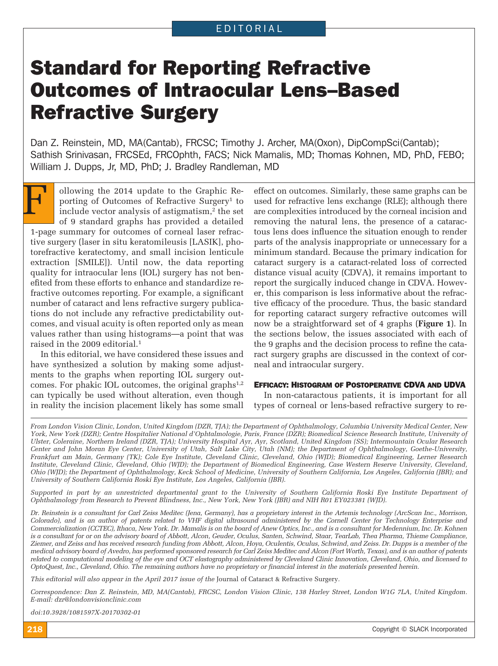# Standard for Reporting Refractive Outcomes of Intraocular Lens–Based Refractive Surgery

Dan Z. Reinstein, MD, MA(Cantab), FRCSC; Timothy J. Archer, MA(Oxon), DipCompSci(Cantab); Sathish Srinivasan, FRCSEd, FRCOphth, FACS; Nick Mamalis, MD; Thomas Kohnen, MD, PhD, FEBO; William J. Dupps, Jr, MD, PhD; J. Bradley Randleman, MD

ollowing the 2014 update to the Graphic Reporting of Outcomes of Refractive Surgery<sup>1</sup> to include vector analysis of astigmatism, $<sup>2</sup>$  the set</sup> of 9 standard graphs has provided a detailed 1-page summary for outcomes of corneal laser refractive surgery (laser in situ keratomileusis [LASIK], photorefractive keratectomy, and small incision lenticule extraction [SMILE]). Until now, the data reporting quality for intraocular lens (IOL) surgery has not benefited from these efforts to enhance and standardize refractive outcomes reporting. For example, a significant number of cataract and lens refractive surgery publications do not include any refractive predictability outcomes, and visual acuity is often reported only as mean values rather than using histograms—a point that was raised in the 2009 editorial.<sup>1</sup> F

In this editorial, we have considered these issues and have synthesized a solution by making some adjustments to the graphs when reporting IOL surgery outcomes. For phakic IOL outcomes, the original graphs $1,2$ can typically be used without alteration, even though in reality the incision placement likely has some small

effect on outcomes. Similarly, these same graphs can be used for refractive lens exchange (RLE); although there are complexities introduced by the corneal incision and removing the natural lens, the presence of a cataractous lens does influence the situation enough to render parts of the analysis inappropriate or unnecessary for a minimum standard. Because the primary indication for cataract surgery is a cataract-related loss of corrected distance visual acuity (CDVA), it remains important to report the surgically induced change in CDVA. However, this comparison is less informative about the refractive efficacy of the procedure. Thus, the basic standard for reporting cataract surgery refractive outcomes will now be a straightforward set of 4 graphs (**Figure 1**). In the sections below, the issues associated with each of the 9 graphs and the decision process to refine the cataract surgery graphs are discussed in the context of corneal and intraocular surgery.

#### Efficacy: Histogram of Postoperative CDVA and UDVA

In non-cataractous patients, it is important for all types of corneal or lens-based refractive surgery to re-

*From London Vision Clinic, London, United Kingdom (DZR, TJA); the Department of Ophthalmology, Columbia University Medical Center, New York, New York (DZR); Centre Hospitalier National d'Ophtalmologie, Paris, France (DZR); Biomedical Science Research Institute, University of Ulster, Coleraine, Northern Ireland (DZR, TJA); University Hospital Ayr, Ayr, Scotland, United Kingdom (SS); Intermountain Ocular Research Center and John Moran Eye Center, University of Utah, Salt Lake City, Utah (NM); the Department of Ophthalmology, Goethe-University, Frankfurt am Main, Germany (TK); Cole Eye Institute, Cleveland Clinic, Cleveland, Ohio (WJD); Biomedical Engineering, Lerner Research Institute, Cleveland Clinic, Cleveland, Ohio (WJD); the Department of Biomedical Engineering, Case Western Reserve University, Cleveland, Ohio (WJD); the Department of Ophthalmology, Keck School of Medicine, University of Southern California, Los Angeles, California (JBR); and University of Southern California Roski Eye Institute, Los Angeles, California (JBR).*

*Supported in part by an unrestricted departmental grant to the University of Southern California Roski Eye Institute Department of Ophthalmology from Research to Prevent Blindness, Inc., New York, New York (JBR) and NIH R01 EY023381 (WJD).*

*Dr. Reinstein is a consultant for Carl Zeiss Meditec (Jena, Germany), has a proprietary interest in the Artemis technology (ArcScan Inc., Morrison, Colorado), and is an author of patents related to VHF digital ultrasound administered by the Cornell Center for Technology Enterprise and Commercialization (CCTEC), Ithaca, New York. Dr. Mamalis is on the board of Anew Optics, Inc., and is a consultant for Medennium, Inc. Dr. Kohnen is a consultant for or on the advisory board of Abbott, Alcon, Geuder, Oculus, Santen, Schwind, Staar, TearLab, Thea Pharma, Thieme Compliance, Ziemer, and Zeiss and has received research funding from Abbott, Alcon, Hoya, Oculentis, Oculus, Schwind, and Zeiss. Dr. Dupps is a member of the medical advisory board of Avedro, has performed sponsored research for Carl Zeiss Meditec and Alcon (Fort Worth, Texas), and is an author of patents related to computational modeling of the eye and OCT elastography administered by Cleveland Clinic Innovation, Cleveland, Ohio, and licensed to OptoQuest, Inc., Cleveland, Ohio. The remaining authors have no proprietary or financial interest in the materials presented herein.* 

*This editorial will also appear in the April 2017 issue of the* Journal of Cataract & Refractive Surgery*.*

*Correspondence: Dan Z. Reinstein, MD, MA(Cantab), FRCSC, London Vision Clinic, 138 Harley Street, London W1G 7LA, United Kingdom. E-mail: dzr@londonvisionclinic.com*

*doi:10.3928/1081597X-20170302-01*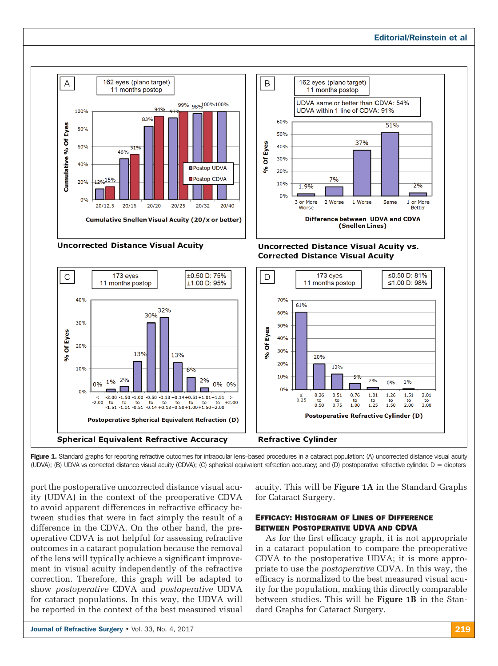## Editorial/Reinstein et al



Figure 1. Standard graphs for reporting refractive outcomes for intraocular lens–based procedures in a cataract population: (A) uncorrected distance visual acuity (UDVA); (B) UDVA vs corrected distance visual acuity (CDVA); (C) spherical equivalent refraction accuracy; and (D) postoperative refractive cylinder. D = diopters

port the postoperative uncorrected distance visual acuity (UDVA) in the context of the preoperative CDVA to avoid apparent differences in refractive efficacy between studies that were in fact simply the result of a difference in the CDVA. On the other hand, the preoperative CDVA is not helpful for assessing refractive outcomes in a cataract population because the removal of the lens will typically achieve a significant improvement in visual acuity independently of the refractive correction. Therefore, this graph will be adapted to show *postoperative* CDVA and *postoperative* UDVA for cataract populations. In this way, the UDVA will be reported in the context of the best measured visual

acuity. This will be **Figure 1A** in the Standard Graphs for Cataract Surgery.

## Efficacy: Histogram of Lines of Difference Between Postoperative UDVA and CDVA

As for the first efficacy graph, it is not appropriate in a cataract population to compare the preoperative CDVA to the postoperative UDVA; it is more appropriate to use the *postoperative* CDVA. In this way, the efficacy is normalized to the best measured visual acuity for the population, making this directly comparable between studies. This will be **Figure 1B** in the Standard Graphs for Cataract Surgery.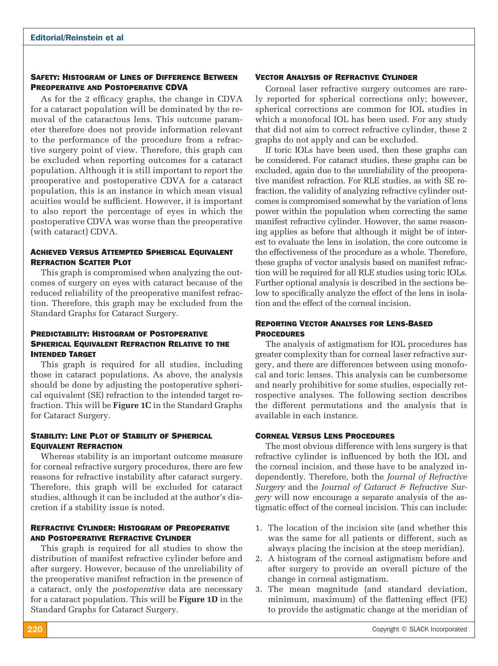# Safety: Histogram of Lines of Difference Between Preoperative and Postoperative CDVA

As for the 2 efficacy graphs, the change in CDVA for a cataract population will be dominated by the removal of the cataractous lens. This outcome parameter therefore does not provide information relevant to the performance of the procedure from a refractive surgery point of view. Therefore, this graph can be excluded when reporting outcomes for a cataract population. Although it is still important to report the preoperative and postoperative CDVA for a cataract population, this is an instance in which mean visual acuities would be sufficient. However, it is important to also report the percentage of eyes in which the postoperative CDVA was worse than the preoperative (with cataract) CDVA.

## Achieved Versus Attempted Spherical Equivalent Refraction Scatter Plot

This graph is compromised when analyzing the outcomes of surgery on eyes with cataract because of the reduced reliability of the preoperative manifest refraction. Therefore, this graph may be excluded from the Standard Graphs for Cataract Surgery.

## Predictability: Histogram of Postoperative SPHERICAL EQUIVALENT REFRACTION RELATIVE TO THE Intended Target

This graph is required for all studies, including those in cataract populations. As above, the analysis should be done by adjusting the postoperative spherical equivalent (SE) refraction to the intended target refraction. This will be **Figure 1C** in the Standard Graphs for Cataract Surgery.

# Stability: Line Plot of Stability of Spherical Equivalent Refraction

Whereas stability is an important outcome measure for corneal refractive surgery procedures, there are few reasons for refractive instability after cataract surgery. Therefore, this graph will be excluded for cataract studies, although it can be included at the author's discretion if a stability issue is noted.

# Refractive Cylinder: Histogram of Preoperative and Postoperative Refractive Cylinder

This graph is required for all studies to show the distribution of manifest refractive cylinder before and after surgery. However, because of the unreliability of the preoperative manifest refraction in the presence of a cataract, only the *postoperative* data are necessary for a cataract population. This will be **Figure 1D** in the Standard Graphs for Cataract Surgery.

## Vector Analysis of Refractive Cylinder

Corneal laser refractive surgery outcomes are rarely reported for spherical corrections only; however, spherical corrections are common for IOL studies in which a monofocal IOL has been used. For any study that did not aim to correct refractive cylinder, these 2 graphs do not apply and can be excluded.

If toric IOLs have been used, then these graphs can be considered. For cataract studies, these graphs can be excluded, again due to the unreliability of the preoperative manifest refraction. For RLE studies, as with SE refraction, the validity of analyzing refractive cylinder outcomes is compromised somewhat by the variation of lens power within the population when correcting the same manifest refractive cylinder. However, the same reasoning applies as before that although it might be of interest to evaluate the lens in isolation, the core outcome is the effectiveness of the procedure as a whole. Therefore, these graphs of vector analysis based on manifest refraction will be required for all RLE studies using toric IOLs. Further optional analysis is described in the sections below to specifically analyze the effect of the lens in isolation and the effect of the corneal incision.

## Reporting Vector Analyses for Lens-Based **PROCEDURES**

The analysis of astigmatism for IOL procedures has greater complexity than for corneal laser refractive surgery, and there are differences between using monofocal and toric lenses. This analysis can be cumbersome and nearly prohibitive for some studies, especially retrospective analyses. The following section describes the different permutations and the analysis that is available in each instance.

#### Corneal Versus Lens Procedures

The most obvious difference with lens surgery is that refractive cylinder is influenced by both the IOL and the corneal incision, and these have to be analyzed independently. Therefore, both the *Journal of Refractive Surgery* and the *Journal of Cataract & Refractive Surgery* will now encourage a separate analysis of the astigmatic effect of the corneal incision. This can include:

- 1. The location of the incision site (and whether this was the same for all patients or different, such as always placing the incision at the steep meridian).
- 2. A histogram of the corneal astigmatism before and after surgery to provide an overall picture of the change in corneal astigmatism.
- 3. The mean magnitude (and standard deviation, minimum, maximum) of the flattening effect (FE) to provide the astigmatic change at the meridian of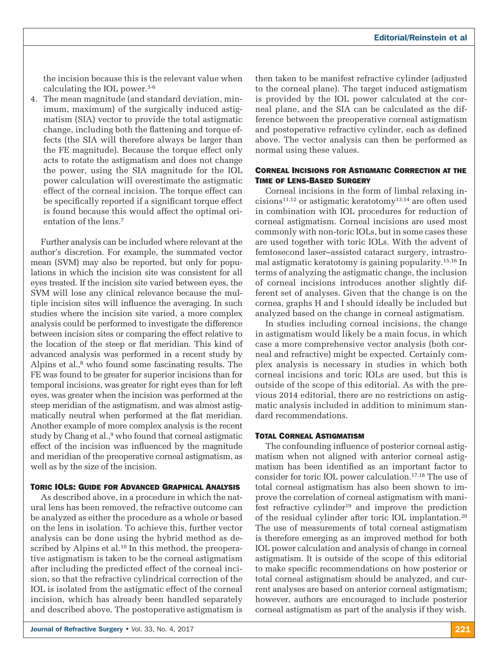the incision because this is the relevant value when calculating the IOL power.3-6

4. The mean magnitude (and standard deviation, minimum, maximum) of the surgically induced astigmatism (SIA) vector to provide the total astigmatic change, including both the flattening and torque effects (the SIA will therefore always be larger than the FE magnitude). Because the torque effect only acts to rotate the astigmatism and does not change the power, using the SIA magnitude for the IOL power calculation will overestimate the astigmatic effect of the corneal incision. The torque effect can be specifically reported if a significant torque effect is found because this would affect the optimal orientation of the lens.7

Further analysis can be included where relevant at the author's discretion. For example, the summated vector mean (SVM) may also be reported, but only for populations in which the incision site was consistent for all eyes treated. If the incision site varied between eyes, the SVM will lose any clinical relevance because the multiple incision sites will influence the averaging. In such studies where the incision site varied, a more complex analysis could be performed to investigate the difference between incision sites or comparing the effect relative to the location of the steep or flat meridian. This kind of advanced analysis was performed in a recent study by Alpins et al., $8$  who found some fascinating results. The FE was found to be greater for superior incisions than for temporal incisions, was greater for right eyes than for left eyes, was greater when the incision was performed at the steep meridian of the astigmatism, and was almost astigmatically neutral when performed at the flat meridian. Another example of more complex analysis is the recent study by Chang et al.,<sup>9</sup> who found that corneal astigmatic effect of the incision was influenced by the magnitude and meridian of the preoperative corneal astigmatism, as well as by the size of the incision.

#### Toric IOLs: Guide for Advanced Graphical Analysis

As described above, in a procedure in which the natural lens has been removed, the refractive outcome can be analyzed as either the procedure as a whole or based on the lens in isolation. To achieve this, further vector analysis can be done using the hybrid method as described by Alpins et al.<sup>10</sup> In this method, the preoperative astigmatism is taken to be the corneal astigmatism after including the predicted effect of the corneal incision, so that the refractive cylindrical correction of the IOL is isolated from the astigmatic effect of the corneal incision, which has already been handled separately and described above. The postoperative astigmatism is

**Journal of Refractive Surgery •** Vol. 33, No. 4, 2017 221 221 221

then taken to be manifest refractive cylinder (adjusted to the corneal plane). The target induced astigmatism is provided by the IOL power calculated at the corneal plane, and the SIA can be calculated as the difference between the preoperative corneal astigmatism and postoperative refractive cylinder, each as defined above. The vector analysis can then be performed as normal using these values.

#### Corneal Incisions for Astigmatic Correction at the Time of Lens-Based Surgery

Corneal incisions in the form of limbal relaxing incisions<sup>11,12</sup> or astigmatic keratotomy<sup>13,14</sup> are often used in combination with IOL procedures for reduction of corneal astigmatism. Corneal incisions are used most commonly with non-toric IOLs, but in some cases these are used together with toric IOLs. With the advent of femtosecond laser–assisted cataract surgery, intrastromal astigmatic keratotomy is gaining popularity.15,16 In terms of analyzing the astigmatic change, the inclusion of corneal incisions introduces another slightly different set of analyses. Given that the change is on the cornea, graphs H and I should ideally be included but analyzed based on the change in corneal astigmatism.

In studies including corneal incisions, the change in astigmatism would likely be a main focus, in which case a more comprehensive vector analysis (both corneal and refractive) might be expected. Certainly complex analysis is necessary in studies in which both corneal incisions and toric IOLs are used, but this is outside of the scope of this editorial. As with the previous 2014 editorial, there are no restrictions on astigmatic analysis included in addition to minimum standard recommendations.

#### Total Corneal Astigmatism

The confounding influence of posterior corneal astigmatism when not aligned with anterior corneal astigmatism has been identified as an important factor to consider for toric IOL power calculation.17,18 The use of total corneal astigmatism has also been shown to improve the correlation of corneal astigmatism with manifest refractive cylinder<sup>19</sup> and improve the prediction of the residual cylinder after toric IOL implantation.20 The use of measurements of total corneal astigmatism is therefore emerging as an improved method for both IOL power calculation and analysis of change in corneal astigmatism. It is outside of the scope of this editorial to make specific recommendations on how posterior or total corneal astigmatism should be analyzed, and current analyses are based on anterior corneal astigmatism; however, authors are encouraged to include posterior corneal astigmatism as part of the analysis if they wish.